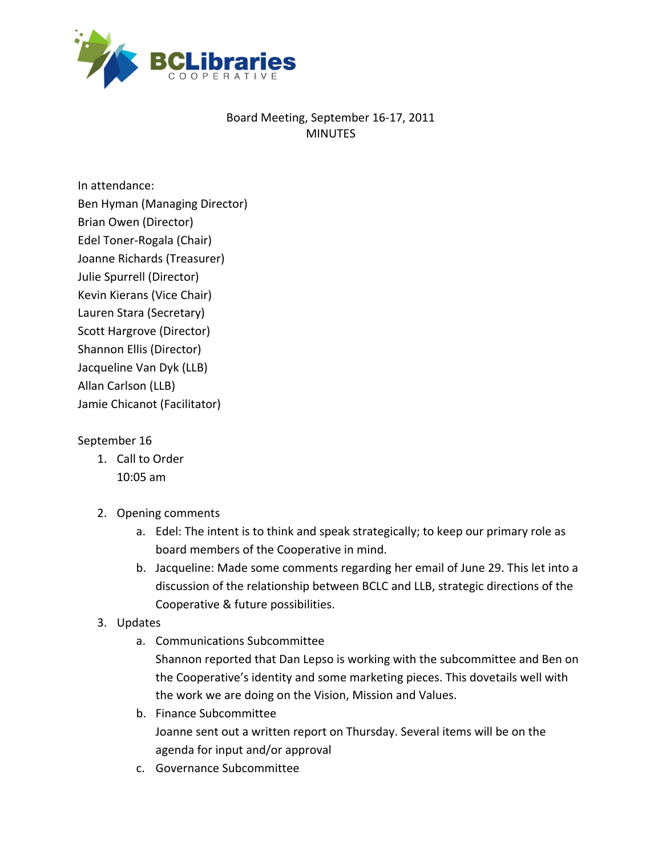

# Board Meeting, September 16‐17, 2011 MINUTES

In attendance: Ben Hyman (Managing Director) Brian Owen (Director) Edel Toner‐Rogala (Chair) Joanne Richards (Treasurer) Julie Spurrell (Director) Kevin Kierans (Vice Chair) Lauren Stara (Secretary) Scott Hargrove (Director) Shannon Ellis (Director) Jacqueline Van Dyk (LLB) Allan Carlson (LLB) Jamie Chicanot (Facilitator)

## September 16

- 1. Call to Order 10:05 am
- 2. Opening comments
	- a. Edel: The intent is to think and speak strategically; to keep our primary role as board members of the Cooperative in mind.
	- b. Jacqueline: Made some comments regarding her email of June 29. This let into a discussion of the relationship between BCLC and LLB, strategic directions of the Cooperative & future possibilities.
- 3. Updates
	- a. Communications Subcommittee Shannon reported that Dan Lepso is working with the subcommittee and Ben on the Cooperative's identity and some marketing pieces. This dovetails well with the work we are doing on the Vision, Mission and Values.
	- b. Finance Subcommittee Joanne sent out a written report on Thursday. Several items will be on the agenda for input and/or approval
	- c. Governance Subcommittee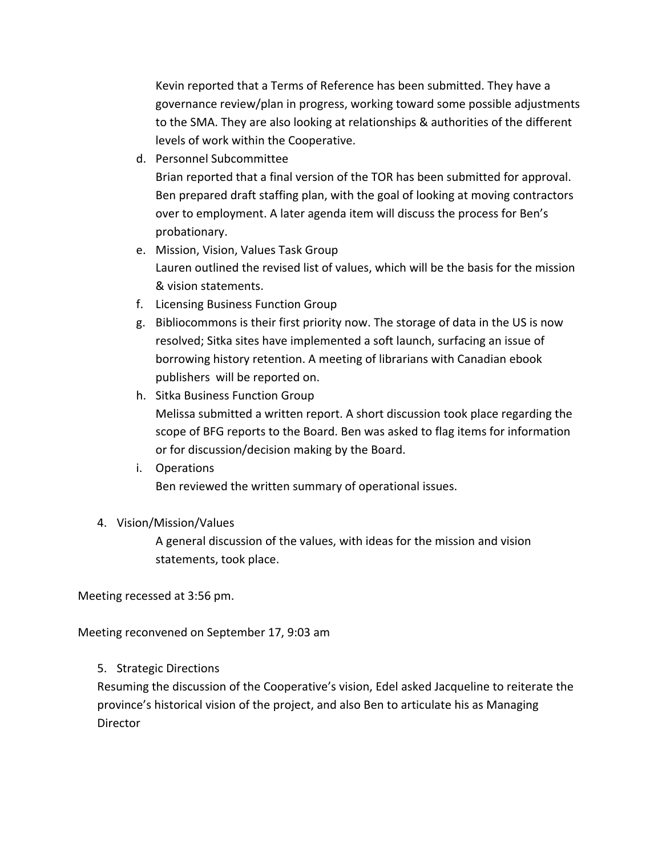Kevin reported that a Terms of Reference has been submitted. They have a governance review/plan in progress, working toward some possible adjustments to the SMA. They are also looking at relationships & authorities of the different levels of work within the Cooperative.

d. Personnel Subcommittee

Brian reported that a final version of the TOR has been submitted for approval. Ben prepared draft staffing plan, with the goal of looking at moving contractors over to employment. A later agenda item will discuss the process for Ben's probationary.

- e. Mission, Vision, Values Task Group Lauren outlined the revised list of values, which will be the basis for the mission & vision statements.
- f. Licensing Business Function Group
- g. Bibliocommons is their first priority now. The storage of data in the US is now resolved; Sitka sites have implemented a soft launch, surfacing an issue of borrowing history retention. A meeting of librarians with Canadian ebook publishers will be reported on.
- h. Sitka Business Function Group Melissa submitted a written report. A short discussion took place regarding the scope of BFG reports to the Board. Ben was asked to flag items for information or for discussion/decision making by the Board.
- i. Operations Ben reviewed the written summary of operational issues.

## 4. Vision/Mission/Values

A general discussion of the values, with ideas for the mission and vision statements, took place.

Meeting recessed at 3:56 pm.

Meeting reconvened on September 17, 9:03 am

## 5. Strategic Directions

Resuming the discussion of the Cooperative's vision, Edel asked Jacqueline to reiterate the province's historical vision of the project, and also Ben to articulate his as Managing **Director**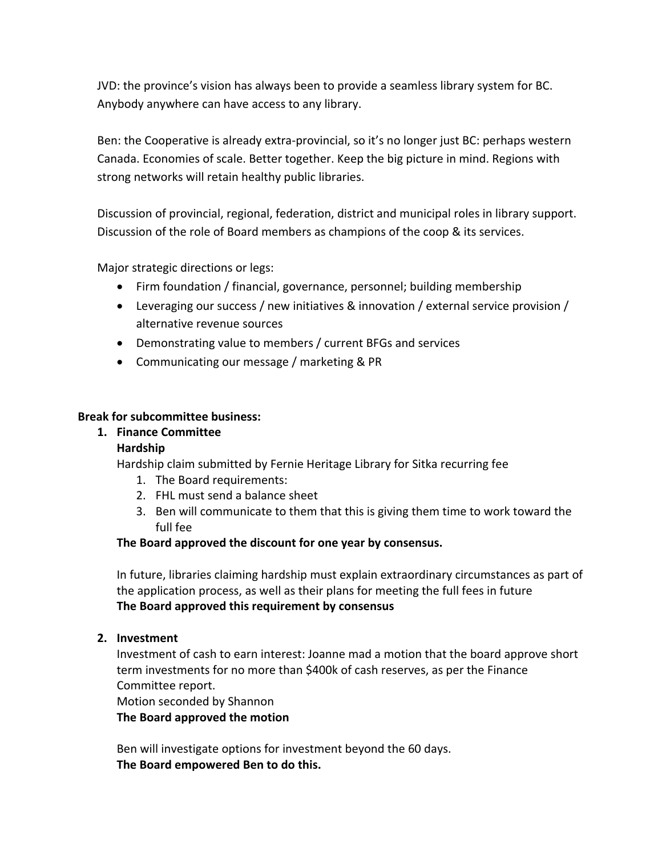JVD: the province's vision has always been to provide a seamless library system for BC. Anybody anywhere can have access to any library.

Ben: the Cooperative is already extra‐provincial, so it's no longer just BC: perhaps western Canada. Economies of scale. Better together. Keep the big picture in mind. Regions with strong networks will retain healthy public libraries.

Discussion of provincial, regional, federation, district and municipal roles in library support. Discussion of the role of Board members as champions of the coop & its services.

Major strategic directions or legs:

- Firm foundation / financial, governance, personnel; building membership
- Leveraging our success / new initiatives & innovation / external service provision / alternative revenue sources
- Demonstrating value to members / current BFGs and services
- Communicating our message / marketing & PR

#### **Break for subcommittee business:**

### **1. Finance Committee**

### **Hardship**

Hardship claim submitted by Fernie Heritage Library for Sitka recurring fee

- 1. The Board requirements:
- 2. FHL must send a balance sheet
- 3. Ben will communicate to them that this is giving them time to work toward the full fee

### **The Board approved the discount for one year by consensus.**

In future, libraries claiming hardship must explain extraordinary circumstances as part of the application process, as well as their plans for meeting the full fees in future **The Board approved this requirement by consensus**

### **2. Investment**

Investment of cash to earn interest: Joanne mad a motion that the board approve short term investments for no more than \$400k of cash reserves, as per the Finance Committee report.

Motion seconded by Shannon

**The Board approved the motion** 

Ben will investigate options for investment beyond the 60 days. **The Board empowered Ben to do this.**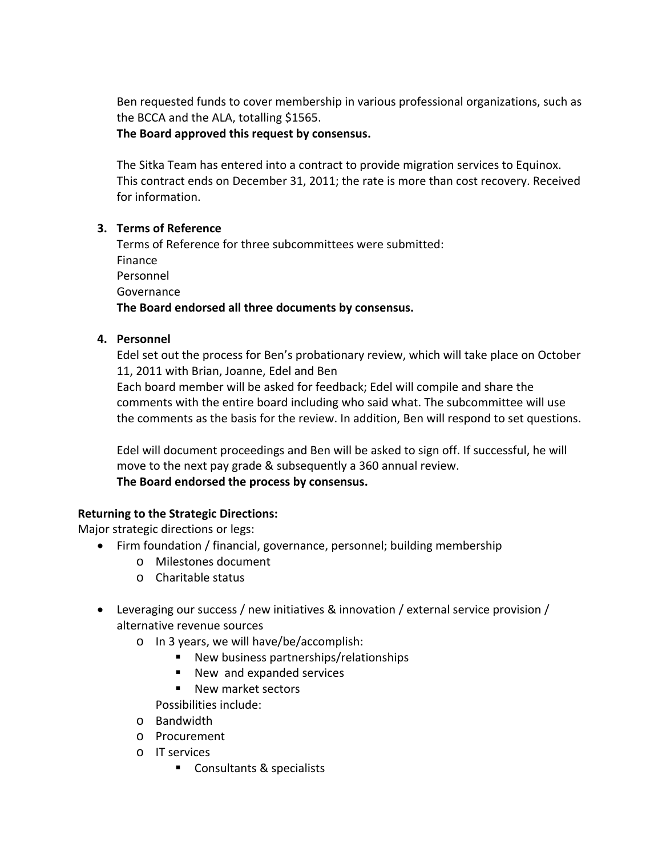Ben requested funds to cover membership in various professional organizations, such as the BCCA and the ALA, totalling \$1565.

## **The Board approved this request by consensus.**

The Sitka Team has entered into a contract to provide migration services to Equinox. This contract ends on December 31, 2011; the rate is more than cost recovery. Received for information.

## **3. Terms of Reference**

Terms of Reference for three subcommittees were submitted: Finance Personnel Governance **The Board endorsed all three documents by consensus.**

## **4. Personnel**

Edel set out the process for Ben's probationary review, which will take place on October 11, 2011 with Brian, Joanne, Edel and Ben

Each board member will be asked for feedback; Edel will compile and share the comments with the entire board including who said what. The subcommittee will use the comments as the basis for the review. In addition, Ben will respond to set questions.

Edel will document proceedings and Ben will be asked to sign off. If successful, he will move to the next pay grade & subsequently a 360 annual review. **The Board endorsed the process by consensus.**

# **Returning to the Strategic Directions:**

Major strategic directions or legs:

- Firm foundation / financial, governance, personnel; building membership
	- o Milestones document
	- o Charitable status
- Leveraging our success / new initiatives & innovation / external service provision / alternative revenue sources
	- o In 3 years, we will have/be/accomplish:
		- New business partnerships/relationships
		- New and expanded services
		- New market sectors

Possibilities include:

- o Bandwidth
- o Procurement
- o IT services
	- Consultants & specialists